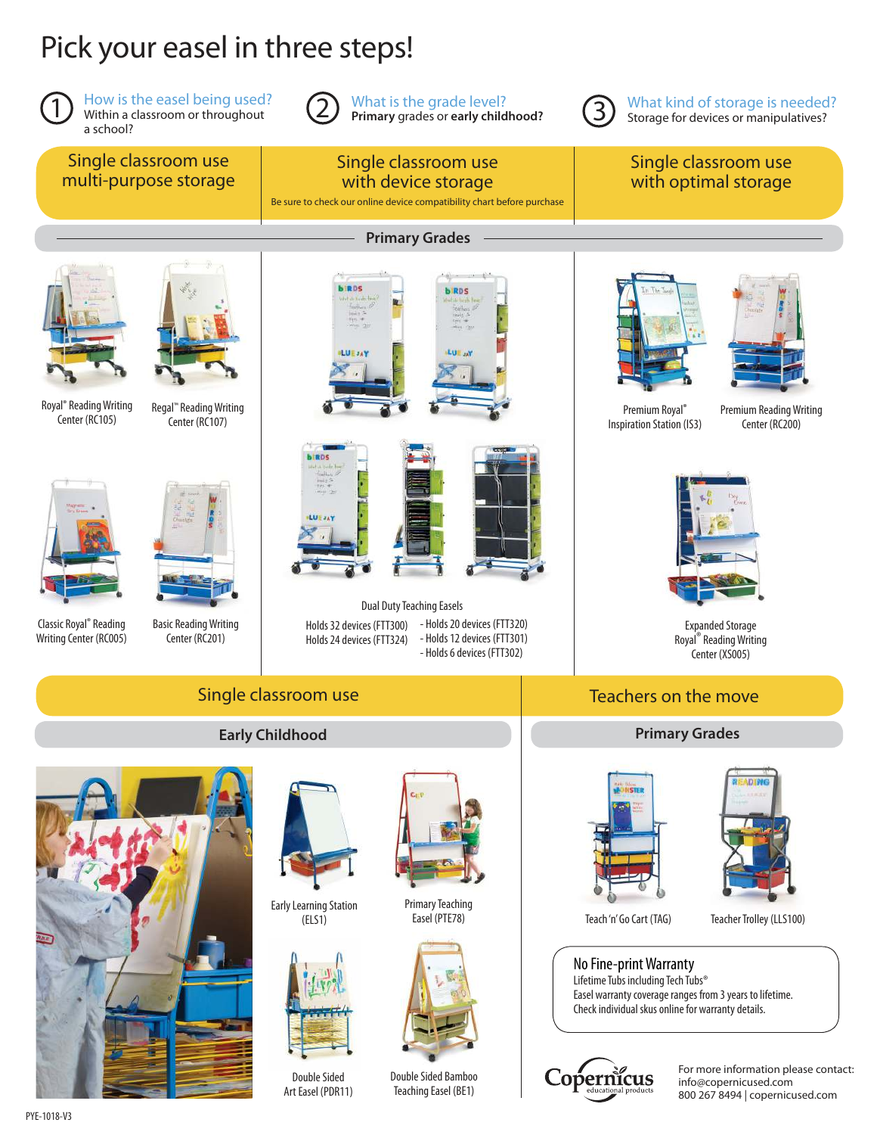## Pick your easel in three steps!



### Single classroom use multi-purpose storage

What is the grade level?

Single classroom use with device storage Be sure to check our online device compatibility chart before purchase

**Primary Grades**



What kind of storage is needed?

Storage for devices or manipulatives?

#### Single classroom use with optimal storage





Royal® Reading Writing Center (RC105)

Regal™ Reading Writing Center (RC107)



Classic Royal® Reading Writing Center (RC005)

Basic Reading Writing Center (RC201)





Holds 32 devices (FTT300) Dual Duty Teaching Easels

Holds 24 devices (FTT324) - Holds 20 devices (FTT320) - Holds 12 devices (FTT301) - Holds 6 devices (FTT302)





Premium Royal<sup>®</sup> Inspiration Station (IS3)

Premium Reading Writing Center (RC200)



Expanded Storage Royal® Reading Writing Center (XS005)

## Teachers on the move



**Early Childhood Primary Grades**

Single classroom use





Double Sided Art Easel (PDR11)



Primary Teaching Easel (PTE78)



Double Sided Bamboo Teaching Easel (BE1)





Teach 'n' Go Cart (TAG) Teacher Trolley (LLS100)

No Fine-print Warranty Lifetime Tubs including Tech Tubs® Easel warranty coverage ranges from 3 years to lifetime. Check individual skus online for warranty details.



For more information please contact: info@copernicused.com 800 267 8494 | copernicused.com